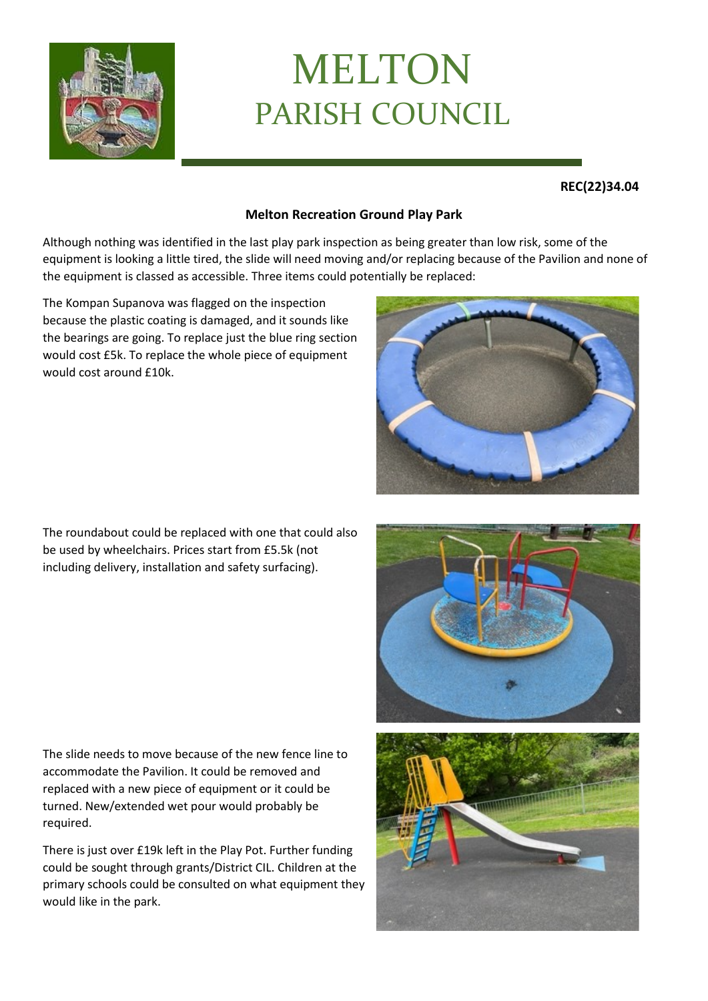

## MELTON PARISH COUNCIL

## **REC(22)34.04**

## **Melton Recreation Ground Play Park**

Although nothing was identified in the last play park inspection as being greater than low risk, some of the equipment is looking a little tired, the slide will need moving and/or replacing because of the Pavilion and none of the equipment is classed as accessible. Three items could potentially be replaced:

The Kompan Supanova was flagged on the inspection because the plastic coating is damaged, and it sounds like the bearings are going. To replace just the blue ring section would cost £5k. To replace the whole piece of equipment would cost around £10k.



The roundabout could be replaced with one that could also be used by wheelchairs. Prices start from £5.5k (not including delivery, installation and safety surfacing).

The slide needs to move because of the new fence line to accommodate the Pavilion. It could be removed and replaced with a new piece of equipment or it could be turned. New/extended wet pour would probably be required.

There is just over £19k left in the Play Pot. Further funding could be sought through grants/District CIL. Children at the primary schools could be consulted on what equipment they would like in the park.